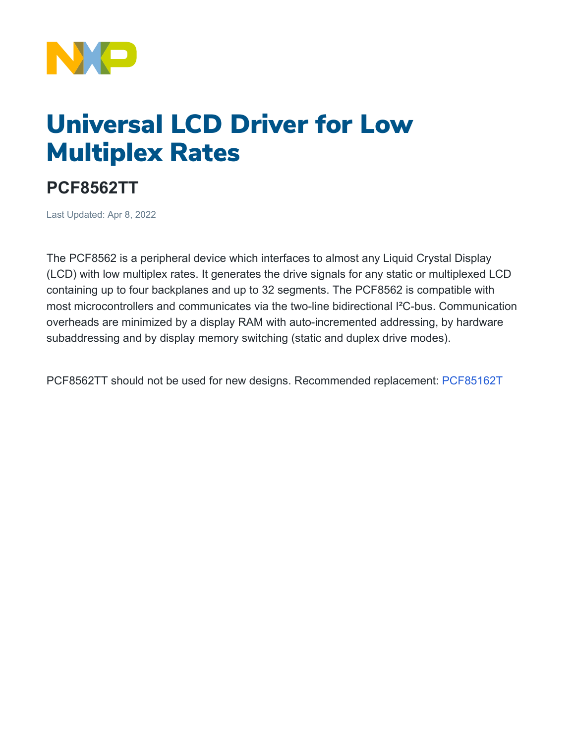

## Universal LCD Driver for Low Multiplex Rates

## **PCF8562TT**

Last Updated: Apr 8, 2022

The PCF8562 is a peripheral device which interfaces to almost any Liquid Crystal Display (LCD) with low multiplex rates. It generates the drive signals for any static or multiplexed LCD containing up to four backplanes and up to 32 segments. The PCF8562 is compatible with most microcontrollers and communicates via the two-line bidirectional I²C-bus. Communication overheads are minimized by a display RAM with auto-incremented addressing, by hardware subaddressing and by display memory switching (static and duplex drive modes).

PCF8562TT should not be used for new designs. Recommended replacement: [PCF85162T](http://www.nxp.com/pip/PCF85162T)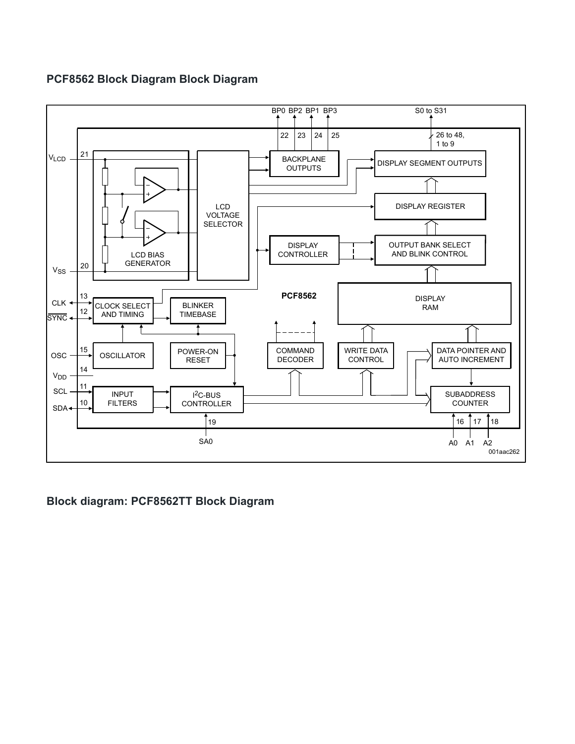## **PCF8562 Block Diagram Block Diagram**



**Block diagram: PCF8562TT Block Diagram**